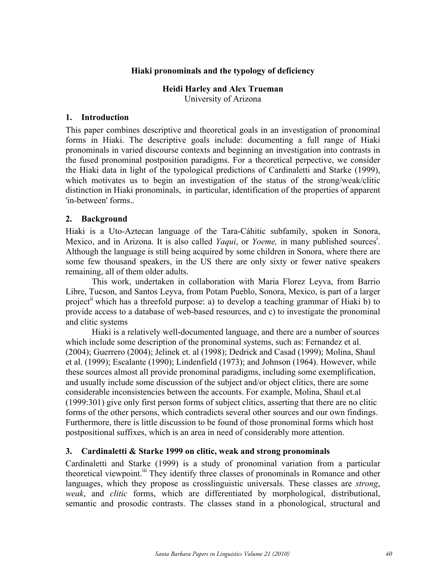# **Hiaki pronominals and the typology of deficiency**

# **Heidi Harley and Alex Trueman**

University of Arizona

### **1. Introduction**

This paper combines descriptive and theoretical goals in an investigation of pronominal forms in Hiaki. The descriptive goals include: documenting a full range of Hiaki pronominals in varied discourse contexts and beginning an investigation into contrasts in the fused pronominal postposition paradigms. For a theoretical perpective, we consider the Hiaki data in light of the typological predictions of Cardinaletti and Starke (1999), which motivates us to begin an investigation of the status of the strong/weak/clitic distinction in Hiaki pronominals, in particular, identification of the properties of apparent 'in-between' forms..

# **2. Background**

Hiaki is a Uto-Aztecan language of the Tara-Cáhitic subfamily, spoken in Sonora, Mexico, and in Arizona. It is also called *Yaqui*, or *Yoeme*, in many published sources<sup>i</sup>. Although the language is still being acquired by some children in Sonora, where there are some few thousand speakers, in the US there are only sixty or fewer native speakers remaining, all of them older adults.

This work, undertaken in collaboration with Maria Florez Leyva, from Barrio Libre, Tucson, and Santos Leyva, from Potam Pueblo, Sonora, Mexico, is part of a larger project<sup>ii</sup> which has a threefold purpose: a) to develop a teaching grammar of Hiaki b) to provide access to a database of web-based resources, and c) to investigate the pronominal and clitic systems

Hiaki is a relatively well-documented language, and there are a number of sources which include some description of the pronominal systems, such as: Fernandez et al. (2004); Guerrero (2004); Jelinek et. al (1998); Dedrick and Casad (1999); Molina, Shaul et al. (1999); Escalante (1990); Lindenfield (1973); and Johnson (1964). However, while these sources almost all provide pronominal paradigms, including some exemplification, and usually include some discussion of the subject and/or object clitics, there are some considerable inconsistencies between the accounts. For example, Molina, Shaul et.al (1999:301) give only first person forms of subject clitics, asserting that there are no clitic forms of the other persons, which contradicts several other sources and our own findings. Furthermore, there is little discussion to be found of those pronominal forms which host postpositional suffixes, which is an area in need of considerably more attention.

# **3. Cardinaletti & Starke 1999 on clitic, weak and strong pronominals**

Cardinaletti and Starke (1999) is a study of pronominal variation from a particular theoretical viewpoint.<sup>iii</sup> They identify three classes of pronominals in Romance and other languages, which they propose as crosslinguistic universals. These classes are *strong*, *weak*, and *clitic* forms, which are differentiated by morphological, distributional, semantic and prosodic contrasts. The classes stand in a phonological, structural and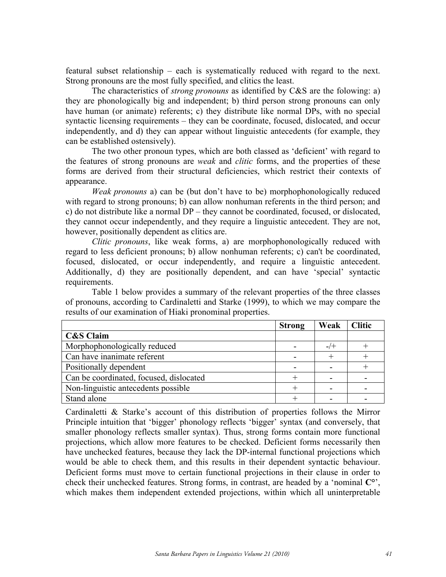featural subset relationship – each is systematically reduced with regard to the next. Strong pronouns are the most fully specified, and clitics the least.

The characteristics of *strong pronouns* as identified by C&S are the folowing: a) they are phonologically big and independent; b) third person strong pronouns can only have human (or animate) referents; c) they distribute like normal DPs, with no special syntactic licensing requirements – they can be coordinate, focused, dislocated, and occur independently, and d) they can appear without linguistic antecedents (for example, they can be established ostensively).

The two other pronoun types, which are both classed as 'deficient' with regard to the features of strong pronouns are *weak* and *clitic* forms, and the properties of these forms are derived from their structural deficiencies, which restrict their contexts of appearance.

*Weak pronouns* a) can be (but don't have to be) morphophonologically reduced with regard to strong pronouns; b) can allow nonhuman referents in the third person; and c) do not distribute like a normal DP – they cannot be coordinated, focused, or dislocated, they cannot occur independently, and they require a linguistic antecedent. They are not, however, positionally dependent as clitics are.

*Clitic pronouns*, like weak forms, a) are morphophonologically reduced with regard to less deficient pronouns; b) allow nonhuman referents; c) can't be coordinated, focused, dislocated, or occur independently, and require a linguistic antecedent. Additionally, d) they are positionally dependent, and can have 'special' syntactic requirements.

Table 1 below provides a summary of the relevant properties of the three classes of pronouns, according to Cardinaletti and Starke (1999), to which we may compare the results of our examination of Hiaki pronominal properties.

|                                         | <b>Strong</b> | Weak      | <b>Clitic</b> |
|-----------------------------------------|---------------|-----------|---------------|
| <b>C&amp;S Claim</b>                    |               |           |               |
| Morphophonologically reduced            |               | $-$ / $+$ |               |
| Can have inanimate referent             |               |           |               |
| Positionally dependent                  |               |           |               |
| Can be coordinated, focused, dislocated |               |           |               |
| Non-linguistic antecedents possible     |               |           |               |
| Stand alone                             |               |           |               |

Cardinaletti & Starke's account of this distribution of properties follows the Mirror Principle intuition that 'bigger' phonology reflects 'bigger' syntax (and conversely, that smaller phonology reflects smaller syntax). Thus, strong forms contain more functional projections, which allow more features to be checked. Deficient forms necessarily then have unchecked features, because they lack the DP-internal functional projections which would be able to check them, and this results in their dependent syntactic behaviour. Deficient forms must move to certain functional projections in their clause in order to check their unchecked features. Strong forms, in contrast, are headed by a 'nominal **C°**', which makes them independent extended projections, within which all uninterpretable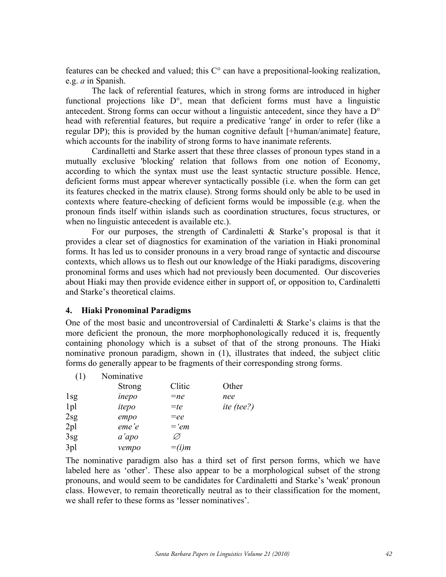features can be checked and valued; this C° can have a prepositional-looking realization, e.g. *a* in Spanish.

The lack of referential features, which in strong forms are introduced in higher functional projections like D°, mean that deficient forms must have a linguistic antecedent. Strong forms can occur without a linguistic antecedent, since they have a D° head with referential features, but require a predicative 'range' in order to refer (like a regular DP); this is provided by the human cognitive default [+human/animate] feature, which accounts for the inability of strong forms to have inanimate referents.

Cardinalletti and Starke assert that these three classes of pronoun types stand in a mutually exclusive 'blocking' relation that follows from one notion of Economy, according to which the syntax must use the least syntactic structure possible. Hence, deficient forms must appear wherever syntactically possible (i.e. when the form can get its features checked in the matrix clause). Strong forms should only be able to be used in contexts where feature-checking of deficient forms would be impossible (e.g. when the pronoun finds itself within islands such as coordination structures, focus structures, or when no linguistic antecedent is available etc.).

For our purposes, the strength of Cardinaletti  $\&$  Starke's proposal is that it provides a clear set of diagnostics for examination of the variation in Hiaki pronominal forms. It has led us to consider pronouns in a very broad range of syntactic and discourse contexts, which allows us to flesh out our knowledge of the Hiaki paradigms, discovering pronominal forms and uses which had not previously been documented. Our discoveries about Hiaki may then provide evidence either in support of, or opposition to, Cardinaletti and Starke's theoretical claims.

#### **4. Hiaki Pronominal Paradigms**

One of the most basic and uncontroversial of Cardinaletti & Starke's claims is that the more deficient the pronoun, the more morphophonologically reduced it is, frequently containing phonology which is a subset of that of the strong pronouns. The Hiaki nominative pronoun paradigm, shown in (1), illustrates that indeed, the subject clitic forms do generally appear to be fragments of their corresponding strong forms.

| Nominative    |         |            |
|---------------|---------|------------|
| <b>Strong</b> | Clitic  | Other      |
| inepo         | $=$ ne  | nee        |
| itepo         | $=te$   | ite (tee?) |
| empo          | $=ee$   |            |
| eme'e         | $=$ 'em |            |
| a'apo         | Ø       |            |
| vempo         | $=(i)m$ |            |
|               |         |            |

The nominative paradigm also has a third set of first person forms, which we have labeled here as 'other'. These also appear to be a morphological subset of the strong pronouns, and would seem to be candidates for Cardinaletti and Starke's 'weak' pronoun class. However, to remain theoretically neutral as to their classification for the moment, we shall refer to these forms as 'lesser nominatives'.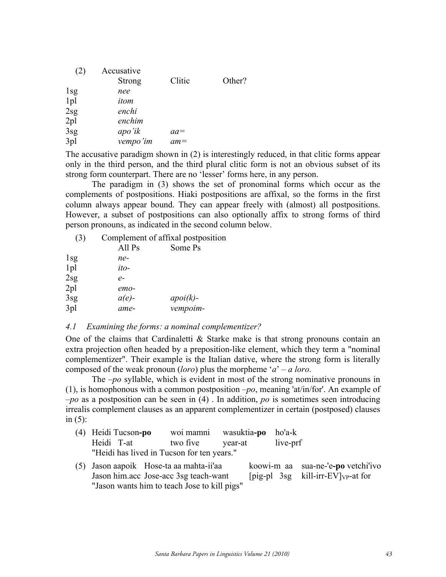| (2)             | Accusative    |        |        |
|-----------------|---------------|--------|--------|
|                 | <b>Strong</b> | Clitic | Other? |
| 1 <sub>sg</sub> | nee           |        |        |
| 1pl             | itom          |        |        |
| 2sg             | enchi         |        |        |
| 2pl             | enchim        |        |        |
| 3sg             | apo'ik        | $aa=$  |        |
| 3pl             | vempo'im      | $am =$ |        |
|                 |               |        |        |

The accusative paradigm shown in (2) is interestingly reduced, in that clitic forms appear only in the third person, and the third plural clitic form is not an obvious subset of its strong form counterpart. There are no 'lesser' forms here, in any person.

The paradigm in (3) shows the set of pronominal forms which occur as the complements of postpositions. Hiaki postpositions are affixal, so the forms in the first column always appear bound. They can appear freely with (almost) all postpositions. However, a subset of postpositions can also optionally affix to strong forms of third person pronouns, as indicated in the second column below.

| (3)             |          | Complement of affixal postposition |
|-----------------|----------|------------------------------------|
|                 | All Ps   | Some Ps                            |
| $1$ sg          | ne-      |                                    |
| 1pl             | ito-     |                                    |
| 2sg             | $e-$     |                                    |
| 2 <sub>pl</sub> | emo-     |                                    |
| 3sg             | $a(e)$ - | $apoik$ -                          |
| 3pl             | ame-     | vempoim-                           |
|                 |          |                                    |

# *4.1 Examining the forms: a nominal complementizer?*

One of the claims that Cardinaletti  $\&$  Starke make is that strong pronouns contain an extra projection often headed by a preposition-like element, which they term a "nominal complementizer". Their example is the Italian dative, where the strong form is literally composed of the weak pronoun (*loro*) plus the morpheme '*a*' – *a loro*.

The *–po* syllable, which is evident in most of the strong nominative pronouns in (1), is homophonous with a common postposition *–po*, meaning 'at/in/for'. An example of *–po* as a postposition can be seen in (4) . In addition, *po* is sometimes seen introducing irrealis complement clauses as an apparent complementizer in certain (postposed) clauses in (5):

| (4) Heidi Tucson-po                        | woi mamni | wasuktia <b>-po</b> ho'a-k |  |
|--------------------------------------------|-----------|----------------------------|--|
| Heidi T-at two five year-at live-prf       |           |                            |  |
| "Heidi has lived in Tucson for ten years." |           |                            |  |

(5) Jason aapoik Hose-ta aa mahta-ii'aa koowi-m aa sua-ne-'e**-po** vetchi'ivo Jason him.acc Jose-acc 3sg teach-want [pig-pl 3sg kill-irr-EV] $_{VP}$ -at for "Jason wants him to teach Jose to kill pigs"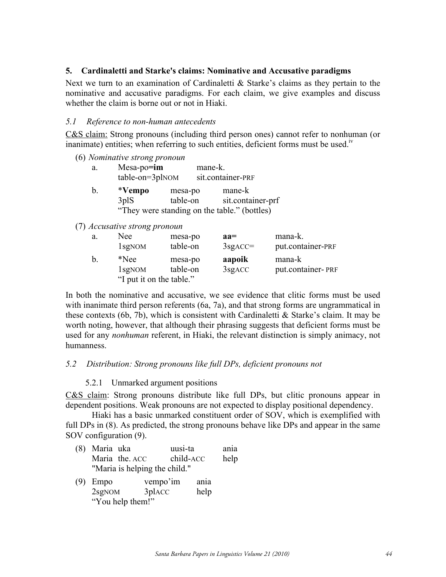# **5. Cardinaletti and Starke's claims: Nominative and Accusative paradigms**

Next we turn to an examination of Cardinaletti & Starke's claims as they pertain to the nominative and accusative paradigms. For each claim, we give examples and discuss whether the claim is borne out or not in Hiaki.

# *5.1 Reference to non-human antecedents*

C&S claim: Strong pronouns (including third person ones) cannot refer to nonhuman (or inanimate) entities; when referring to such entities, deficient forms must be used.<sup>iv</sup>

(6) *Nominative strong pronoun*

| a. | $Mesa-po = im$      |         | mane-k.           |
|----|---------------------|---------|-------------------|
|    | $table-on = 3plNOM$ |         | sit.container-PRF |
| b  | *Vempo              | mesa-po | mane-k            |

3plS table-on sit.container-prf "They were standing on the table." (bottles)

# (7) *Accusative strong pronoun*

| a. | Nee                      | mesa-po  | $aa =$             | mana-k.           |
|----|--------------------------|----------|--------------------|-------------------|
|    | 1 <sub>sg</sub> NOM      | table-on | $3$ sg $ACC=$      | put.container-PRF |
| b. | *Nee                     | mesa-po  | aapoik             | mana-k            |
|    | 1 <sub>sg</sub> NOM      | table-on | 3sg <sub>ACC</sub> | put.container-PRF |
|    | "I put it on the table." |          |                    |                   |

In both the nominative and accusative, we see evidence that clitic forms must be used with inanimate third person referents (6a, 7a), and that strong forms are ungrammatical in these contexts (6b, 7b), which is consistent with Cardinaletti & Starke's claim. It may be worth noting, however, that although their phrasing suggests that deficient forms must be used for any *nonhuman* referent, in Hiaki, the relevant distinction is simply animacy, not humanness.

# *5.2 Distribution: Strong pronouns like full DPs, deficient pronouns not*

# 5.2.1 Unmarked argument positions

C&S claim: Strong pronouns distribute like full DPs, but clitic pronouns appear in dependent positions. Weak pronouns are not expected to display positional dependency.

Hiaki has a basic unmarked constituent order of SOV, which is exemplified with full DPs in (8). As predicted, the strong pronouns behave like DPs and appear in the same SOV configuration (9).

- (8) Maria uka uusi-ta ania Maria the. ACC child-ACC help "Maria is helping the child."
- (9) Empo vempo'im ania 2sgNOM 3plACC help "You help them!"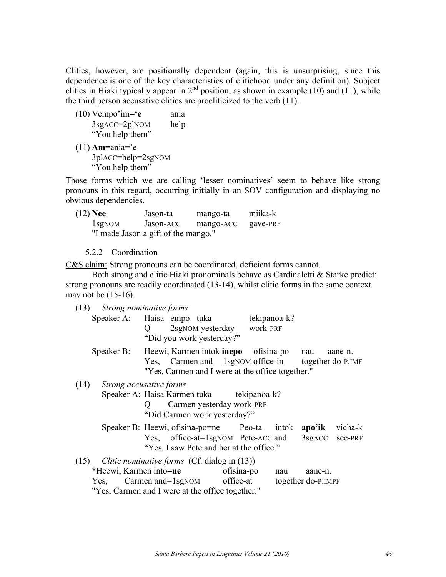Clitics, however, are positionally dependent (again, this is unsurprising, since this dependence is one of the key characteristics of clitichood under any definition). Subject clitics in Hiaki typically appear in  $2<sup>nd</sup>$  position, as shown in example (10) and (11), while the third person accusative clitics are procliticized to the verb (11).

- (10) Vempo'im**='e** ania 3sgACC=2plNOM help "You help them"
- (11) **Am=**ania='e 3plACC=help=2sgNOM "You help them"

Those forms which we are calling 'lesser nominatives' seem to behave like strong pronouns in this regard, occurring initially in an SOV configuration and displaying no obvious dependencies.

| $(12)$ Nee | Jason-ta                            | mango-ta  | miika-k  |
|------------|-------------------------------------|-----------|----------|
| $1$ sgNOM  | Jason-ACC                           | mango-ACC | gave-PRF |
|            | "I made Jason a gift of the mango." |           |          |

5.2.2 Coordination

C&S claim: Strong pronouns can be coordinated, deficient forms cannot.

Both strong and clitic Hiaki pronominals behave as Cardinaletti & Starke predict: strong pronouns are readily coordinated (13-14), whilst clitic forms in the same context may not be (15-16).

| (13) Strong nominative forms | Speaker A: Haisa empo tuka tekipanoa-k?<br>Q<br>"Did you work yesterday?"                                                                                                         | 2sgNOM yesterday work-PRF |     |                                  |         |
|------------------------------|-----------------------------------------------------------------------------------------------------------------------------------------------------------------------------------|---------------------------|-----|----------------------------------|---------|
|                              | Speaker B: Heewi, Karmen intok <b>inepo</b> ofisina-po<br>Yes, Carmen and 1sgNOM office-in together do-P.IMF<br>"Yes, Carmen and I were at the office together."                  |                           |     | nau                              | aane-n. |
| (14)                         | Strong accusative forms                                                                                                                                                           |                           |     |                                  |         |
|                              | Speaker A: Haisa Karmen tuka tekipanoa-k?<br>Carmen yesterday work-PRF<br>"Did Carmen work yesterday?"                                                                            |                           |     |                                  |         |
|                              | Speaker B: Heewi, ofisina-po=ne Peo-ta into k<br>Yes, office-at=1sgNOM Pete-ACC and<br>"Yes, I saw Pete and her at the office."                                                   |                           |     | apo'ik vicha-k<br>3sgACC see-PRF |         |
| (15)                         | Clitic nominative forms (Cf. dialog in (13))<br>*Heewi, Karmen into=ne<br>Yes, Carmen and=1sgNOM office-at together do-P.IMPF<br>"Yes, Carmen and I were at the office together." | ofisina-po                | nau | aane-n.                          |         |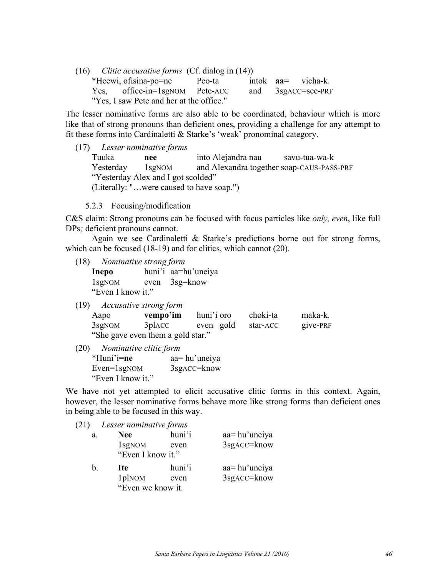(16) *Clitic accusative forms* (Cf. dialog in (14)) \*Heewi, ofisina-po=ne Peo-ta intok **aa=** vicha-k. Yes, office-in=1sgNOM Pete-ACC and 3sgACC=see-PRF "Yes, I saw Pete and her at the office."

The lesser nominative forms are also able to be coordinated, behaviour which is more like that of strong pronouns than deficient ones, providing a challenge for any attempt to fit these forms into Cardinaletti & Starke's 'weak' pronominal category.

(17) *Lesser nominative forms* Tuuka **nee** into Alejandra nau savu-tua-wa-k Yesterday 1sgNOM and Alexandra together soap-CAUS-PASS-PRF "Yesterday Alex and I got scolded" (Literally: "…were caused to have soap.")

5.2.3 Focusing/modification

C&S claim: Strong pronouns can be focused with focus particles like *only, even*, like full DPs*;* deficient pronouns cannot.

Again we see Cardinaletti & Starke's predictions borne out for strong forms, which can be focused (18-19) and for clitics, which cannot (20).

(18) *Nominative strong form*

**Inepo** huni'i aa=hu'uneiya 1sgNOM even 3sg=know "Even I know it."

(19) *Accusative strong form*

| Aapo               | vempo'im                          | huni'i oro | choki-ta | maka-k.  |
|--------------------|-----------------------------------|------------|----------|----------|
| 3sg <sub>NOM</sub> | 3placc                            | even gold  | star-ACC | give-PRF |
|                    | "She gave even them a gold star." |            |          |          |

(20) *Nominative clitic form*  \*Huni'i**=ne** aa= hu'uneiya Even=1sgNOM 3sgACC=know "Even I know it."

We have not yet attempted to elicit accusative clitic forms in this context. Again, however, the lesser nominative forms behave more like strong forms than deficient ones in being able to be focused in this way.

(21) *Lesser nominative forms*

| a. | <b>Nee</b>         | huni'i | aa=hu'uneiya |
|----|--------------------|--------|--------------|
|    | 1sg <sub>NOM</sub> | even   | 3sgACC=know  |
|    | "Even I know it."  |        |              |
| h. | Ite                | huni'i | aa=hu'uneiya |
|    |                    |        |              |
|    | 1pl <sub>NOM</sub> | even   | 3sgACC=know  |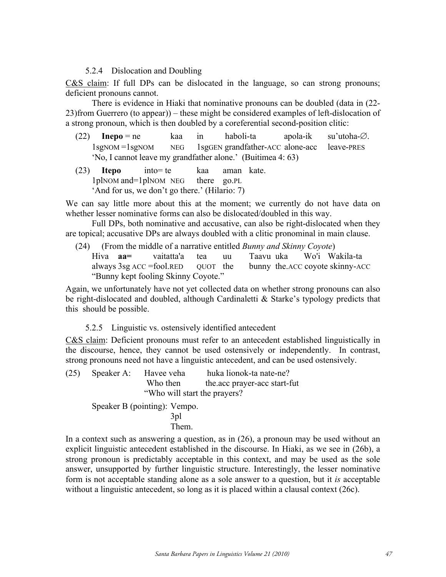### 5.2.4 Dislocation and Doubling

C&S claim: If full DPs can be dislocated in the language, so can strong pronouns; deficient pronouns cannot.

There is evidence in Hiaki that nominative pronouns can be doubled (data in (22- 23)from Guerrero (to appear)) – these might be considered examples of left-dislocation of a strong pronoun, which is then doubled by a coreferential second-position clitic:

- $(22)$  **Inepo** = ne kaa in haboli-ta apola-ik su'utoha- $\varnothing$ . 1sgNOM =1sgNOM NEG 1sgGEN grandfather-ACC alone-acc leave-PRES 'No, I cannot leave my grandfather alone.' (Buitimea 4: 63)
- (23) **Itepo** into= te kaa aman kate. 1plNOM and=1plNOM NEG there go.PL 'And for us, we don't go there.' (Hilario: 7)

We can say little more about this at the moment; we currently do not have data on whether lesser nominative forms can also be dislocated/doubled in this way.

Full DPs, both nominative and accusative, can also be right-dislocated when they are topical; accusative DPs are always doubled with a clitic pronominal in main clause.

(24) (From the middle of a narrative entitled *Bunny and Skinny Coyote*) Hiva **aa=** vaitatta'a tea uu Taavu uka Wo'i Wakila-ta always 3sg ACC =fool.RED QUOT the bunny the.ACC coyote skinny-ACC "Bunny kept fooling Skinny Coyote."

Again, we unfortunately have not yet collected data on whether strong pronouns can also be right-dislocated and doubled, although Cardinaletti & Starke's typology predicts that this should be possible.

# 5.2.5 Linguistic vs. ostensively identified antecedent

C&S claim: Deficient pronouns must refer to an antecedent established linguistically in the discourse, hence, they cannot be used ostensively or independently. In contrast, strong pronouns need not have a linguistic antecedent, and can be used ostensively.

(25) Speaker A: Havee veha huka lionok-ta nate-ne? Who then the.acc prayer-acc start-fut "Who will start the prayers?

Speaker B (pointing): Vempo.

3pl Them.

In a context such as answering a question, as in (26), a pronoun may be used without an explicit linguistic antecedent established in the discourse. In Hiaki, as we see in (26b), a strong pronoun is predictably acceptable in this context, and may be used as the sole answer, unsupported by further linguistic structure. Interestingly, the lesser nominative form is not acceptable standing alone as a sole answer to a question, but it *is* acceptable without a linguistic antecedent, so long as it is placed within a clausal context (26c).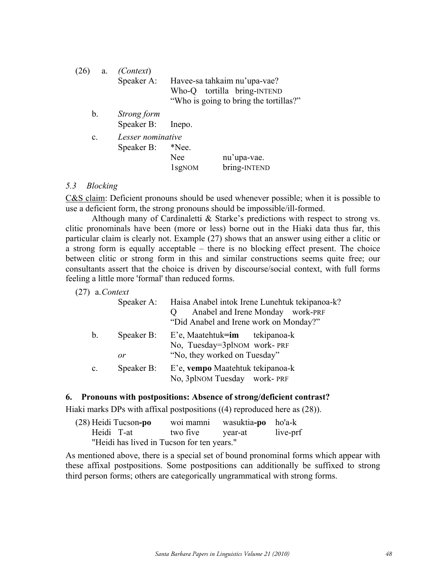| (26)<br>a.     | <i>(Context)</i><br>Speaker A:  |                                           | Havee-sa tahkaim nu'upa-vae?<br>Who-Q tortilla bring-INTEND<br>"Who is going to bring the tortillas?" |
|----------------|---------------------------------|-------------------------------------------|-------------------------------------------------------------------------------------------------------|
| $b_{\cdot}$    | Strong form<br>Speaker B:       | Inepo.                                    |                                                                                                       |
| $\mathbf{c}$ . | Lesser nominative<br>Speaker B: | *Nee.<br><b>Nee</b><br>1 <sub>sgNOM</sub> | nu'upa-vae.<br>bring-INTEND                                                                           |

### *5.3 Blocking*

C&S claim: Deficient pronouns should be used whenever possible; when it is possible to use a deficient form, the strong pronouns should be impossible/ill-formed.

Although many of Cardinaletti & Starke's predictions with respect to strong vs. clitic pronominals have been (more or less) borne out in the Hiaki data thus far, this particular claim is clearly not. Example (27) shows that an answer using either a clitic or a strong form is equally acceptable – there is no blocking effect present. The choice between clitic or strong form in this and similar constructions seems quite free; our consultants assert that the choice is driven by discourse/social context, with full forms feeling a little more 'formal' than reduced forms.

(27) a.*Context*

|                | Speaker A:       | Haisa Anabel intok Irene Lunehtuk tekipanoa-k?<br>Anabel and Irene Monday work-PRF<br>"Did Anabel and Irene work on Monday?" |
|----------------|------------------|------------------------------------------------------------------------------------------------------------------------------|
| $\mathbf{b}$ . | Speaker B:<br>or | E'e, Maatehtuk=im tekipanoa-k<br>No, Tuesday=3plNOM work-PRF<br>"No, they worked on Tuesday"                                 |
| $\mathbf{c}$ . | Speaker B:       | E'e, vempo Maatehtuk tekipanoa-k<br>No, 3plnom Tuesday work-PRF                                                              |

### **6. Pronouns with postpositions: Absence of strong/deficient contrast?**

Hiaki marks DPs with affixal postpositions ((4) reproduced here as (28)).

| (28) Heidi Tucson-po                       |                  | woi mamni wasuktia-po ho'a-k |          |
|--------------------------------------------|------------------|------------------------------|----------|
| Heidi T-at                                 | two five year-at |                              | live-prf |
| "Heidi has lived in Tucson for ten years." |                  |                              |          |

As mentioned above, there is a special set of bound pronominal forms which appear with these affixal postpositions. Some postpositions can additionally be suffixed to strong third person forms; others are categorically ungrammatical with strong forms.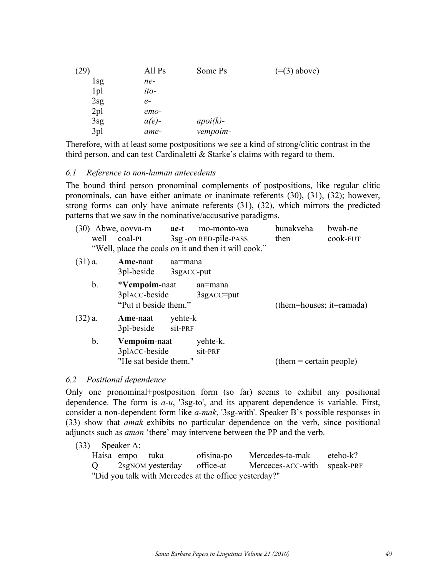| (29)            | All Ps   | Some Ps   | $(=(3)$ above) |
|-----------------|----------|-----------|----------------|
| 1sg             | ne-      |           |                |
| 1 <sub>pl</sub> | ito-     |           |                |
| 2sg             | $e-$     |           |                |
| 2 <sub>pl</sub> | $emo-$   |           |                |
| 3sg             | $a(e)$ - | $apoik$ - |                |
| 3pl             | ame-     | vempoim-  |                |

Therefore, with at least some postpositions we see a kind of strong/clitic contrast in the third person, and can test Cardinaletti & Starke's claims with regard to them.

### *6.1 Reference to non-human antecedents*

The bound third person pronominal complements of postpositions, like regular clitic pronominals, can have either animate or inanimate referents (30), (31), (32); however, strong forms can only have animate referents (31), (32), which mirrors the predicted patterns that we saw in the nominative/accusative paradigms.

| $(30)$ Abwe, oovva-m | ae-t mo-monto-wa                                     | hunakveha | bwah-ne  |
|----------------------|------------------------------------------------------|-----------|----------|
| well coal-PL         | 3sg - on RED-pile-PASS                               | then      | cook-FUT |
|                      | "Well, place the coals on it and then it will cook." |           |          |

| $(31)$ a. | Ame-naat<br>aa=mana<br>3pl-beside<br>3sg <sub>ACC</sub> -put                           |                           |
|-----------|----------------------------------------------------------------------------------------|---------------------------|
| b.        | *Vempoim-naat<br>aa=mana<br>3placc-beside<br>$3$ sg $ACC=put$<br>"Put it beside them." | (them=houses; it=ramada)  |
| $(32)$ a. | yehte-k<br>Ame-naat<br>sit-PRF<br>3pl-beside                                           |                           |
| b.        | Vempoim-naat<br>yehte-k.<br>3placc-beside<br>sit-PRF<br>"He sat beside them."          | $(them = certain people)$ |

#### *6.2 Positional dependence*

Only one pronominal+postposition form (so far) seems to exhibit any positional dependence. The form is *a-u*, '3sg-to', and its apparent dependence is variable. First, consider a non-dependent form like *a-mak*, '3sg-with'. Speaker B's possible responses in (33) show that *amak* exhibits no particular dependence on the verb, since positional adjuncts such as *aman* 'there' may intervene between the PP and the verb.

(33) Speaker A: Haisa empo tuka ofisina-po Mercedes-ta-mak eteho-k? Q 2sgNOM yesterday office-at Merceces-ACC-with speak-PRF "Did you talk with Mercedes at the office yesterday?"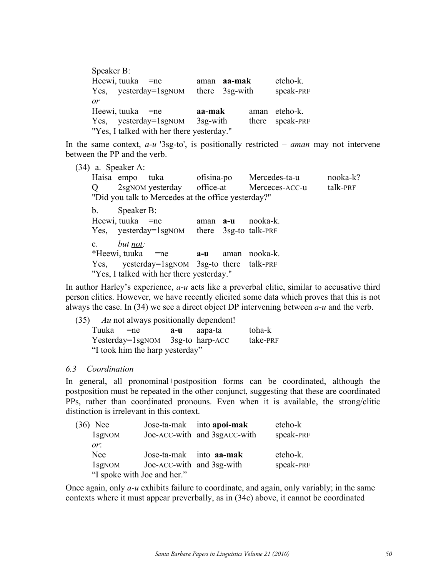Speaker B: Heewi, tuuka =ne aman **aa-mak** eteho-k. Yes, yesterday=1sgNOM there 3sg-with speak-PRF *or* Heewi, tuuka =ne **aa-mak** aman eteho-k. Yes, yesterday=1sgNOM 3sg-with there speak-PRF "Yes, I talked with her there yesterday."

In the same context, *a-u* '3sg-to', is positionally restricted – *aman* may not intervene between the PP and the verb.

(34) a. Speaker A:

Haisa empo tuka ofisina-po Mercedes-ta-u nooka-k? Q 2sgNOM yesterday office-at Merceces-ACC-u talk-PRF "Did you talk to Mercedes at the office yesterday?"

b. Speaker B: Heewi, tuuka =ne aman **a-u** nooka-k. Yes, yesterday=1sgNOM there 3sg-to talk-PRF c. *but not:* \*Heewi, tuuka =ne **a-u** aman nooka-k. Yes, yesterday=1sgNOM 3sg-to there talk-PRF "Yes, I talked with her there yesterday."

In author Harley's experience, *a-u* acts like a preverbal clitic, similar to accusative third person clitics. However, we have recently elicited some data which proves that this is not always the case. In (34) we see a direct object DP intervening between *a-u* and the verb.

|            | $(35)$ Au not always positionally dependent! |                    |          |
|------------|----------------------------------------------|--------------------|----------|
| Tuuka = ne |                                              | <b>a-u</b> aapa-ta | toha-k   |
|            | Yesterday=1sgNOM 3sg-to harp-ACC             |                    | take-PRF |
|            | "I took him the harp yesterday"              |                    |          |

# *6.3 Coordination*

In general, all pronominal+postposition forms can be coordinated, although the postposition must be repeated in the other conjunct, suggesting that these are coordinated PPs, rather than coordinated pronouns. Even when it is available, the strong/clitic distinction is irrelevant in this context.

| $(36)$ Nee |                             |                           | Jose-ta-mak into apoi-mak    | eteho-k   |
|------------|-----------------------------|---------------------------|------------------------------|-----------|
|            | 1sgNOM                      |                           | Joe-ACC-with and 3sgACC-with | speak-PRF |
|            | or:                         |                           |                              |           |
|            | <b>Nee</b>                  | Jose-ta-mak into a a-mak  |                              | eteho-k.  |
|            | $1$ sgNOM                   | Joe-ACC-with and 3sg-with |                              | speak-PRF |
|            | "I spoke with Joe and her." |                           |                              |           |

Once again, only *a-u* exhibits failure to coordinate, and again, only variably; in the same contexts where it must appear preverbally, as in (34c) above, it cannot be coordinated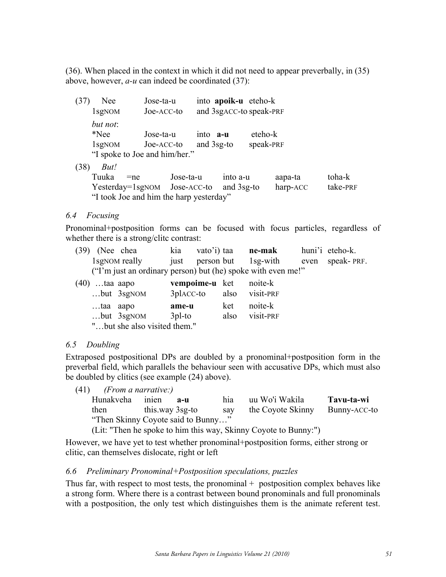(36). When placed in the context in which it did not need to appear preverbally, in (35) above, however, *a-u* can indeed be coordinated (37):

(37) Nee Jose-ta-u into **apoik-u** eteho-k 1sgNOM Joe-ACC-to and 3sgACC-to speak-PRF *but not*: \*Nee Jose-ta-u into **a-u** eteho-k 1sgNOM Joe-ACC-to and 3sg-to speak-PRF "I spoke to Joe and him/her."

(38) *But!*

Tuuka =ne Jose-ta-u into a-u aapa-ta toha-k Yesterday=1sgNOM Jose-ACC-to and 3sg-to harp-ACC take-PRF "I took Joe and him the harp yesterday"

# *6.4 Focusing*

Pronominal+postposition forms can be focused with focus particles, regardless of whether there is a strong/clitc contrast:

|                      | $(39)$ (Nee chea |                           | kia vato'i) taa <b>ne-mak</b> |                                                              | huni'i eteho-k. |
|----------------------|------------------|---------------------------|-------------------------------|--------------------------------------------------------------|-----------------|
|                      |                  | 1sg <sub>NOM</sub> really |                               | just person but 1sg-with even speak-PRF.                     |                 |
|                      |                  |                           |                               | ("I'm just an ordinary person) but (he) spoke with even me!" |                 |
| $\sim$ $\sim$ $\sim$ |                  |                           |                               |                                                              |                 |

| $(40)$ taa aapo |                              | vempoime-u ket |      | noite-k   |
|-----------------|------------------------------|----------------|------|-----------|
|                 | $$ but $3sgNOM$              | 3placc-to      | also | visit-PRF |
| taa aapo        |                              | ame-u          | ket  | noite-k   |
|                 | $$ but $3sgNOM$              | $3$ pl-to      | also | visit-PRF |
|                 | "but she also visited them." |                |      |           |

# *6.5 Doubling*

Extraposed postpositional DPs are doubled by a pronominal+postposition form in the preverbal field, which parallels the behaviour seen with accusative DPs, which must also be doubled by clitics (see example (24) above).

(41) *(From a narrative:)*

| Hunakveha                          | inien           | $A-II$ | hia | uu Wo'i Wakila                                                              | Tavu-ta-wi   |
|------------------------------------|-----------------|--------|-----|-----------------------------------------------------------------------------|--------------|
| then                               | this way 3sg-to |        | sav | the Coyote Skinny                                                           | Bunny-ACC-to |
| "Then Skinny Coyote said to Bunny" |                 |        |     |                                                                             |              |
|                                    |                 |        |     | $(1.4.9)$ There he even by the him this way. Chinese Coverts to Democrative |              |

(Lit: "Then he spoke to him this way, Skinny Coyote to Bunny:")

However, we have yet to test whether pronominal+postposition forms, either strong or clitic, can themselves dislocate, right or left

# *6.6 Preliminary Pronominal+Postposition speculations, puzzles*

Thus far, with respect to most tests, the pronominal  $+$  postposition complex behaves like a strong form. Where there is a contrast between bound pronominals and full pronominals with a postposition, the only test which distinguishes them is the animate referent test.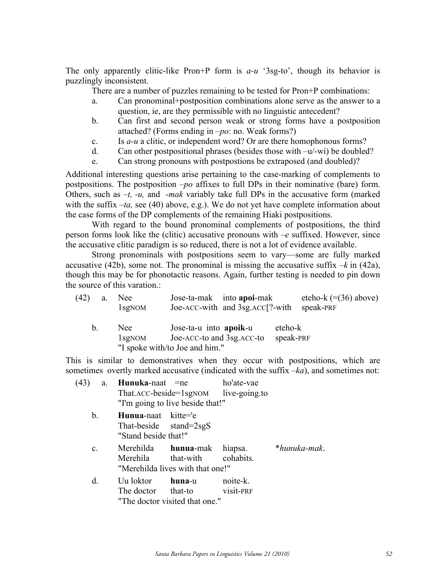The only apparently clitic-like Pron+P form is *a-u* '3sg-to', though its behavior is puzzlingly inconsistent.

There are a number of puzzles remaining to be tested for Pron+P combinations:

- a. Can pronominal+postposition combinations alone serve as the answer to a question, ie, are they permissible with no linguistic antecedent?
- b. Can first and second person weak or strong forms have a postposition attached? (Forms ending in *–po*: no. Weak forms?)
- c. Is *a-u* a clitic, or independent word? Or are there homophonous forms?
- d. Can other postpositional phrases (besides those with –u/-wi) be doubled?
- e. Can strong pronouns with postpostions be extraposed (and doubled)?

Additional interesting questions arise pertaining to the case-marking of complements to postpositions. The postposition *–po* affixes to full DPs in their nominative (bare) form. Others, such as *–t, -u,* and *-mak* variably take full DPs in the accusative form (marked with the suffix *-ta*, see (40) above, e.g.). We do not yet have complete information about the case forms of the DP complements of the remaining Hiaki postpositions.

With regard to the bound pronominal complements of postpositions, the third person forms look like the (clitic) accusative pronouns with *–e* suffixed. However, since the accusative clitic paradigm is so reduced, there is not a lot of evidence available.

Strong pronominals with postpositions seem to vary—some are fully marked accusative (42b), some not. The pronominal is missing the accusative suffix  $-k$  in (42a), though this may be for phonotactic reasons. Again, further testing is needed to pin down the source of this varation.

| (42)    | a. | Nee:<br>1 <sub>sg</sub> NOM | Jose-ta-mak into apoi-mak<br>Joe-ACC-with and 3sg.ACC[?-with                           |                      | eteho-k $(=(36)$ above)<br>speak-PRF |
|---------|----|-----------------------------|----------------------------------------------------------------------------------------|----------------------|--------------------------------------|
| $b_{-}$ |    | Nee.<br>$1$ sg $NOM$        | Jose-ta-u into apoik-u<br>Joe-ACC-to and 3sg. ACC-to<br>"I spoke with/to Joe and him." | eteho-k<br>speak-PRF |                                      |

This is similar to demonstratives when they occur with postpositions, which are sometimes overtly marked accusative (indicated with the suffix *–ka*), and sometimes not:

| (43)<br>a.     | Hunuka-naat =ne                                                                 | That.ACC-beside=1sgNOM live-going.to<br>"I'm going to live beside that!"                                | ho'ate-vae |              |
|----------------|---------------------------------------------------------------------------------|---------------------------------------------------------------------------------------------------------|------------|--------------|
| b.             | <b>Hunua-</b> naat kitte='e<br>That-beside $stand=2sgS$<br>"Stand beside that!" |                                                                                                         |            |              |
| $\mathbf{c}$ . |                                                                                 | Merehilda <b>hunua</b> -mak hiapsa.<br>Merehila that-with cohabits.<br>"Merehilda lives with that one!" |            | *hunuka-mak. |
| d.             | Uu loktor                                                                       | huna-u<br>The doctor that-to visit-PRF<br>"The doctor visited that one."                                | noite-k.   |              |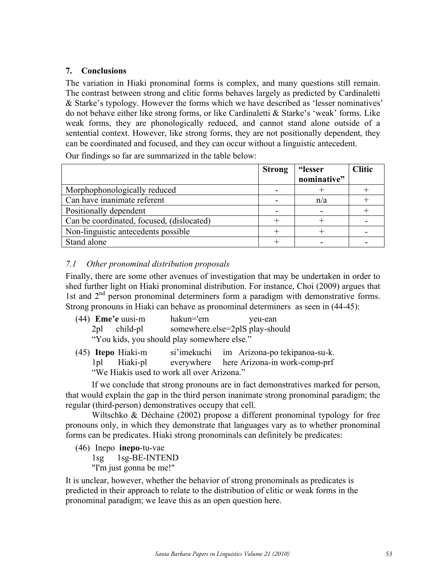# **7. Conclusions**

The variation in Hiaki pronominal forms is complex, and many questions still remain. The contrast between strong and clitic forms behaves largely as predicted by Cardinaletti & Starke's typology. However the forms which we have described as 'lesser nominatives' do not behave either like strong forms, or like Cardinaletti & Starke's 'weak' forms. Like weak forms, they are phonologically reduced, and cannot stand alone outside of a sentential context. However, like strong forms, they are not positionally dependent, they can be coordinated and focused, and they can occur without a linguistic antecedent.

Our findings so far are summarized in the table below:

|                                           | <b>Strong</b> | "lesser     | <b>Clitic</b> |
|-------------------------------------------|---------------|-------------|---------------|
|                                           |               | nominative" |               |
| Morphophonologically reduced              |               |             |               |
| Can have inanimate referent               |               | n/a         |               |
| Positionally dependent                    |               |             |               |
| Can be coordinated, focused, (dislocated) |               |             |               |
| Non-linguistic antecedents possible       |               |             |               |
| Stand alone                               |               |             |               |

# *7.1 Other pronominal distribution proposals*

Finally, there are some other avenues of investigation that may be undertaken in order to shed further light on Hiaki pronominal distribution. For instance, Choi (2009) argues that 1st and 2<sup>nd</sup> person pronominal determiners form a paradigm with demonstrative forms. Strong pronouns in Hiaki can behave as pronominal determiners as seen in (44-45):

| $(44)$ <b>Eme'e</b> uusi-m | hakun='em                                   | yeu-ean |
|----------------------------|---------------------------------------------|---------|
| 2pl child-pl               | somewhere.else=2plS play-should             |         |
|                            | "You kids, you should play somewhere else." |         |

(45) **Itepo** Hiaki-m si'imekuchi im Arizona-po tekipanoa-su-k. 1pl Hiaki-pl everywhere here Arizona-in work-comp-prf "We Hiakis used to work all over Arizona."

If we conclude that strong pronouns are in fact demonstratives marked for person, that would explain the gap in the third person inanimate strong pronominal paradigm; the regular (third-person) demonstratives occupy that cell.

Wiltschko & Déchaine (2002) propose a different pronominal typology for free pronouns only, in which they demonstrate that languages vary as to whether pronominal forms can be predicates. Hiaki strong pronominals can definitely be predicates:

(46) Inepo **inepo**-tu-vae 1sg 1sg-BE-INTEND

"I'm just gonna be me!"

It is unclear, however, whether the behavior of strong pronominals as predicates is predicted in their approach to relate to the distribution of clitic or weak forms in the pronominal paradigm; we leave this as an open question here.